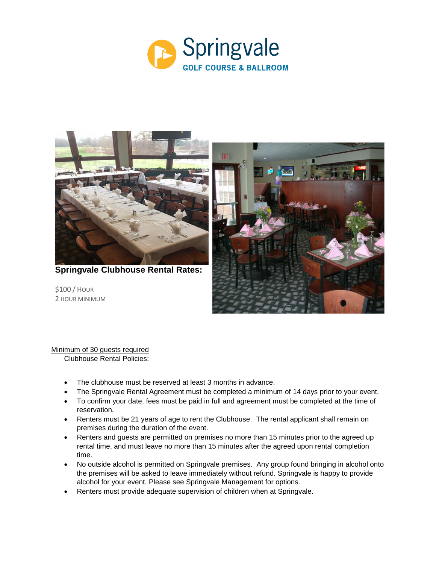



**Springvale Clubhouse Rental Rates:**

\$100 / HOUR 2 HOUR MINIMUM



Minimum of 30 guests required Clubhouse Rental Policies:

- The clubhouse must be reserved at least 3 months in advance.
- The Springvale Rental Agreement must be completed a minimum of 14 days prior to your event.
- To confirm your date, fees must be paid in full and agreement must be completed at the time of reservation.
- Renters must be 21 years of age to rent the Clubhouse. The rental applicant shall remain on premises during the duration of the event.
- Renters and guests are permitted on premises no more than 15 minutes prior to the agreed up rental time, and must leave no more than 15 minutes after the agreed upon rental completion time.
- No outside alcohol is permitted on Springvale premises. Any group found bringing in alcohol onto the premises will be asked to leave immediately without refund. Springvale is happy to provide alcohol for your event. Please see Springvale Management for options.
- Renters must provide adequate supervision of children when at Springvale.